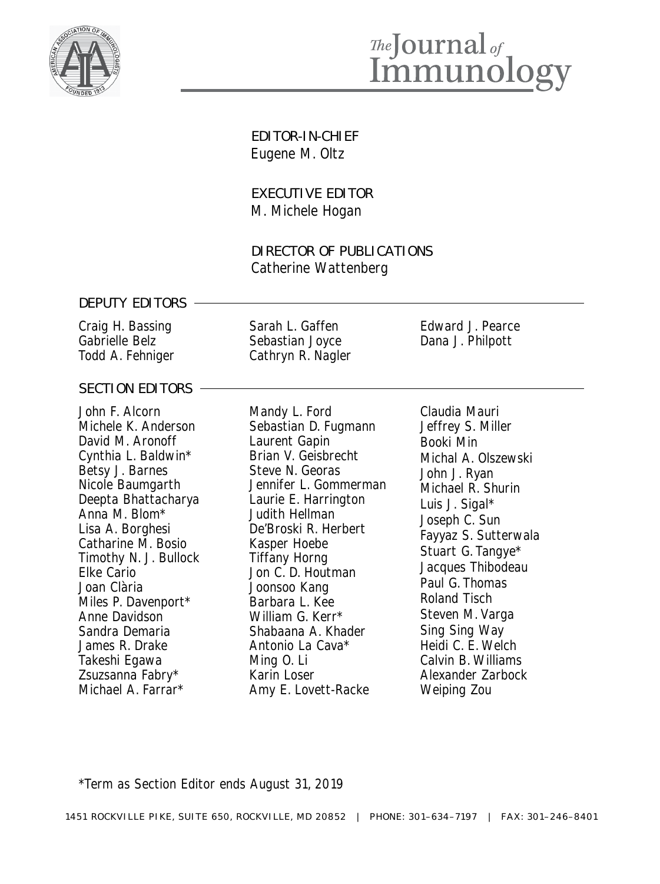

# *Ihe*Journal<sub>of</sub><br>Immunology

EDITOR-IN-CHIEF Eugene M. Oltz

EXECUTIVE EDITOR M. Michele Hogan

DIRECTOR OF PUBLICATIONS Catherine Wattenberg

#### DEPUTY EDITORS

Craig H. Bassing Gabrielle Belz Todd A. Fehniger

| Sarah L. Gaffen   |
|-------------------|
| Sebastian Joyce   |
| Cathryn R. Nagler |

Edward J. Pearce Dana J. Philpott

#### SECTION EDITORS -

John F. Alcorn Michele K. Anderson David M. Aronoff Cynthia L. Baldwin\* Betsy J. Barnes Nicole Baumgarth Deepta Bhattacharya Anna M. Blom\* Lisa A. Borghesi Catharine M. Bosio Timothy N. J. Bullock Elke Cario Joan Clària Miles P. Davenport\* Anne Davidson Sandra Demaria James R. Drake Takeshi Egawa Zsuzsanna Fabry\* Michael A. Farrar\*

Mandy L. Ford Sebastian D. Fugmann Laurent Gapin Brian V. Geisbrecht Steve N. Georas Jennifer L. Gommerman Laurie E. Harrington Judith Hellman De'Broski R. Herbert Kasper Hoebe Tiffany Horng Jon C. D. Houtman Joonsoo Kang Barbara L. Kee William G. Kerr\* Shabaana A. Khader Antonio La Cava\* Ming O. Li Karin Loser Amy E. Lovett-Racke

Claudia Mauri Jeffrey S. Miller Booki Min Michal A. Olszewski John J. Ryan Michael R. Shurin Luis J. Sigal\* Joseph C. Sun Fayyaz S. Sutterwala Stuart G. Tangye\* Jacques Thibodeau Paul G. Thomas Roland Tisch Steven M. Varga Sing Sing Way Heidi C. E. Welch Calvin B. Williams Alexander Zarbock Weiping Zou

\*Term as Section Editor ends August 31, 2019